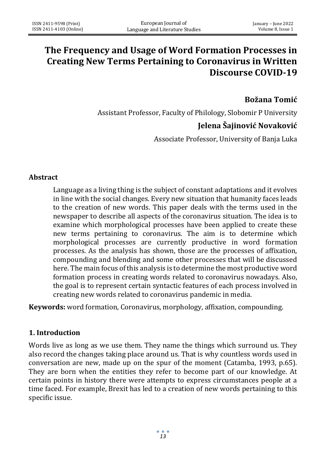# **The Frequency and Usage of Word Formation Processes in Creating New Terms Pertaining to Coronavirus in Written Discourse COVID-19**

## **Božana Tomić**

Assistant Professor, Faculty of Philology, Slobomir P University

# **Jelena Šajinović Novaković**

Associate Professor, University of Banja Luka

### **Abstract**

Language as a living thing is the subject of constant adaptations and it evolves in line with the social changes. Every new situation that humanity faces leads to the creation of new words. This paper deals with the terms used in the newspaper to describe all aspects of the coronavirus situation. The idea is to examine which morphological processes have been applied to create these new terms pertaining to coronavirus. The aim is to determine which morphological processes are currently productive in word formation processes. As the analysis has shown, those are the processes of affixation, compounding and blending and some other processes that will be discussed here. The main focus of this analysis is to determine the most productive word formation process in creating words related to coronavirus nowadays. Also, the goal is to represent certain syntactic features of each process involved in creating new words related to coronavirus pandemic in media.

**Keywords:** word formation, Coronavirus, morphology, affixation, compounding.

### **1. Introduction**

Words live as long as we use them. They name the things which surround us. They also record the changes taking place around us. That is why countless words used in conversation are new, made up on the spur of the moment (Catamba, 1993, p.65). They are born when the entities they refer to become part of our knowledge. At certain points in history there were attempts to express circumstances people at a time faced. For example, Brexit has led to a creation of new words pertaining to this specific issue.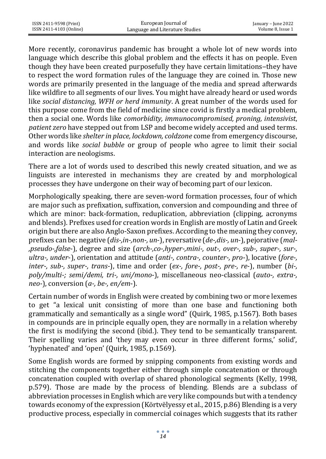| ISSN 2411-9598 (Print)  | European Journal of             | January – June 2022 |
|-------------------------|---------------------------------|---------------------|
| ISSN 2411-4103 (Online) | Language and Literature Studies | Volume 8. Issue 1   |

More recently, coronavirus pandemic has brought a whole lot of new words into language which describe this global problem and the effects it has on people. Even though they have been created purposefully they have certain limitations-they have to respect the word formation rules of the language they are coined in. Those new words are primarily presented in the language of the media and spread afterwards like wildfire to all segments of our lives. You might have already heard or used words like *social distancing, WFH or herd immunity*. A great number of the words used for this purpose come from the field of medicine since covid is firstly a medical problem, then a social one. Words like *comorbidity, immunocompromised, proning, intensivist*, *patient zero* have stepped out from LSP and become widely accepted and used terms. Other words like *shelter in place, lockdown, coldzone* come from emergency discourse, and words like *social bubble* or group of people who agree to limit their social interaction are neologisms.

There are a lot of words used to described this newly created situation, and we as linguists are interested in mechanisms they are created by and morphological processes they have undergone on their way of becoming part of our lexicon.

Morphologically speaking, there are seven-word formation processes, four of which are major such as prefixation, suffixation, conversion and compounding and three of which are minor: back-formation, reduplication, abbreviation (clipping, acronyms and blends). Prefixes used for creation words in English are mostly of Latin and Greek origin but there are also Anglo-Saxon prefixes. According to the meaning they convey, prefixes can be: negative (*dis-,in-,non-, un*-), reversative (*de-,dis-, un*-), pejorative (*mal- ,pseudo-,false*-), degree and size (*arch-,co-,hyper-,mini-, out-, over-, sub-, super-, sur-, ultra-, under*-), orientation and attitude (*anti-, contra-, counter-, pro*-), locative (*fore-, inter-, sub-, super-, trans*-), time and order (*ex-, fore-, post-, pre-, re*-), number (*bi-, poly/multi-; semi/demi, tri-, uni/mono*-), miscellaneous neo-classical (*auto-, extra-, neo-*), conversion (*a-, be-, en/em*-).

Certain number of words in English were created by combining two or more lexemes to get "a lexical unit consisting of more than one base and functioning both grammatically and semantically as a single word" (Quirk, 1985, p.1567). Both bases in compounds are in principle equally open, they are normally in a relation whereby the first is modifying the second (ibid.). They tend to be semantically transparent. Their spelling varies and 'they may even occur in three different forms,' solid', 'hyphenated' and 'open' (Quirk, 1985, p.1569).

Some English words are formed by snipping components from existing words and stitching the components together either through simple concatenation or through concatenation coupled with overlap of shared phonological segments (Kelly, 1998, p.579). Those are made by the process of blending. Blends are a subclass of abbreviation processes in English which are very like compounds but with a tendency towards economy of the expression (Körtvëlyessy et al., 2015, p.86) Blending is a very productive process, especially in commercial coinages which suggests that its rather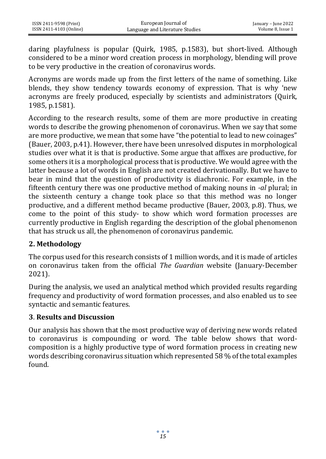daring playfulness is popular (Quirk, 1985, p.1583), but short-lived. Although considered to be a minor word creation process in morphology, blending will prove to be very productive in the creation of coronavirus words.

Acronyms are words made up from the first letters of the name of something. Like blends, they show tendency towards economy of expression. That is why 'new acronyms are freely produced, especially by scientists and administrators (Quirk, 1985, p.1581).

According to the research results, some of them are more productive in creating words to describe the growing phenomenon of coronavirus. When we say that some are more productive, we mean that some have "the potential to lead to new coinages" (Bauer, 2003, p.41). However, there have been unresolved disputes in morphological studies over what it is that is productive. Some argue that affixes are productive, for some others it is a morphological process that is productive. We would agree with the latter because a lot of words in English are not created derivationally. But we have to bear in mind that the question of productivity is diachronic. For example, in the fifteenth century there was one productive method of making nouns in *-al* plural; in the sixteenth century a change took place so that this method was no longer productive, and a different method became productive (Bauer, 2003, p.8). Thus, we come to the point of this study- to show which word formation processes are currently productive in English regarding the description of the global phenomenon that has struck us all, the phenomenon of coronavirus pandemic.

# **2. Methodology**

The corpus used for this research consists of 1 million words, and it is made of articles on coronavirus taken from the official *The Guardian* website (January-December 2021).

During the analysis, we used an analytical method which provided results regarding frequency and productivity of word formation processes, and also enabled us to see syntactic and semantic features.

## **3**. **Results and Discussion**

Our analysis has shown that the most productive way of deriving new words related to coronavirus is compounding or word. The table below shows that wordcomposition is a highly productive type of word formation process in creating new words describing coronavirus situation which represented 58 % of the total examples found.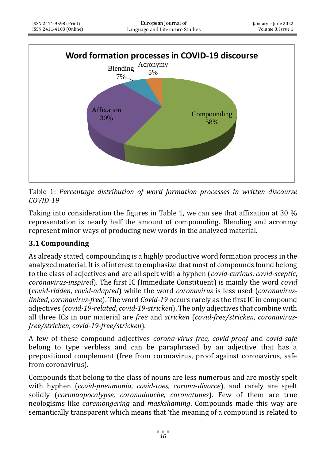

Table 1: *Percentage distribution of word formation processes in written discourse COVID-19*

Taking into consideration the figures in Table 1, we can see that affixation at 30 % representation is nearly half the amount of compounding. Blending and acronmy represent minor ways of producing new words in the analyzed material.

# **3.1 Compounding**

As already stated, compounding is a highly productive word formation process in the analyzed material. It is of interest to emphasize that most of compounds found belong to the class of adjectives and are all spelt with a hyphen (*covid-curious*, *covid-sceptic*, *coronavirus-inspired*). The first IC (Immediate Constituent) is mainly the word *covid* (*covid-ridden*, *covid-adapted*) while the word *coronavirus* is less used (*coronaviruslinked*, *coronavirus-free*). The word *Covid-19* occurs rarely as the first IC in compound adjectives (*covid-19-related*, *covid-19-stricken*). The only adjectives that combine with all three ICs in our material are *free* and *stricken* (*covid-free/stricken, coronavirusfree/stricken, covid-19-free/stricken*).

A few of these compound adjectives *corona-virus free, covid-proof* and *covid*-*safe* belong to type verbless and can be paraphrased by an adjective that has a prepositional complement (free from coronavirus, proof against coronavirus, safe from coronavirus).

Compounds that belong to the class of nouns are less numerous and are mostly spelt with hyphen (*covid-pneumonia*, *covid*-*toes*, *corona*-*divorce*), and rarely are spelt solidly (*coronaapocalypse, coronadouche, coronatunes*). Few of them are true neologisms like *caremongering* and *maskshaming*. Compounds made this way are semantically transparent which means that 'the meaning of a compound is related to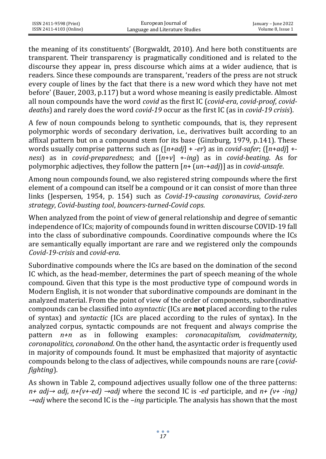| ISSN 2411-9598 (Print)  | European Journal of             | January – June 2022 |
|-------------------------|---------------------------------|---------------------|
| ISSN 2411-4103 (Online) | Language and Literature Studies | Volume 8, Issue 1   |

the meaning of its constituents' (Borgwaldt, 2010). And here both constituents are transparent. Their transparency is pragmatically conditioned and is related to the discourse they appear in, press discourse which aims at a wider audience, that is readers. Since these compounds are transparent, 'readers of the press are not struck every couple of lines by the fact that there is a new word which they have not met before' (Bauer, 2003, p.117) but a word whose meaning is easily predictable. Almost all noun compounds have the word *covid* as the first IC (*covid-era*, *covid-proof*, *coviddeaths*) and rarely does the word *covid-19* occur as the first IC (as in *covid-19 crisis*).

A few of noun compounds belong to synthetic compounds, that is, they represent polymorphic words of secondary derivation, i.e., derivatives built according to an affixal pattern but on a compound stem for its base (Ginzburg, 1979, p.141). These words usually comprise patterns such as ([*n+adj*] + -*er*) as in *covid-safer*; ([*n*+*adj*] + *ness*) as in *covid-preparedness*; and ([*n*+*v*] +-*ing*) as in *covid-beating*. As for polymorphic adjectives, they follow the pattern [*n*+ (*un*-+*adj*)] as in *covid-unsafe*.

Among noun compounds found, we also registered string compounds where the first element of a compound can itself be a compound or it can consist of more than three links (Jespersen, 1954, p. 154) such as *Covid-19-causing coronavirus*, *Covid-zero strategy*, *Covid-busting tool*, *bouncers-turned-Covid cops*.

When analyzed from the point of view of general relationship and degree of semantic independence of ICs; majority of compounds found in written discourse COVID-19 fall into the class of subordinative compounds. Coordinative compounds where the ICs are semantically equally important are rare and we registered only the compounds *Covid-19-crisis* and *covid-era*.

Subordinative compounds where the ICs are based on the domination of the second IC which, as the head-member, determines the part of speech meaning of the whole compound. Given that this type is the most productive type of compound words in Modern English, it is not wonder that subordinative compounds are dominant in the analyzed material. From the point of view of the order of components, subordinative compounds can be classified into *asyntactic* (ICs are **not** placed according to the rules of syntax) and *syntactic* (ICs are placed according to the rules of syntax). In the analyzed corpus, syntactic compounds are not frequent and always comprise the pattern *n+n* as in following examples: *coronacapitalism, covidmaternity, coronapolitics, coronabond*. On the other hand, the asyntactic order is frequently used in majority of compounds found. It must be emphasized that majority of asyntactic compounds belong to the class of adjectives, while compounds nouns are rare (*covidfighting*).

As shown in Table 2, compound adjectives usually follow one of the three patterns: *n+ adj→ adj*, *n+(v+-ed) →adj* where the second IC is *-ed* participle, and *n+ (v+ -ing) →adj* where the second IC is the *–ing* participle. The analysis has shown that the most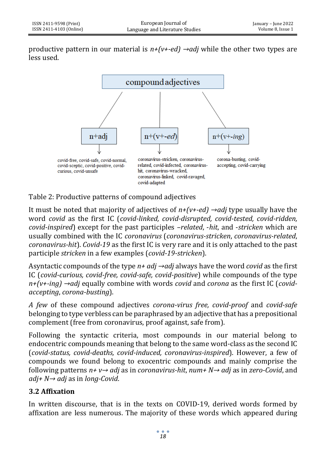productive pattern in our material is *n+(v+-ed) →adj* while the other two types are less used.



Table 2: Productive patterns of compound adjectives

It must be noted that majority of adjectives of *n+(v+-ed) →adj* type usually have the word *covid* as the first IC (*covid-linked, covid-disrupted, covid-tested, covid-ridden, covid-inspired*) except for the past participles –*related*, -*hit*, and -*stricken* which are usually combined with the IC *coronavirus* (*coronavirus-stricken*, *coronavirus-related*, *coronavirus-hit*). *Covid-19* as the first IC is very rare and it is only attached to the past participle *stricken* in a few examples (*covid-19-stricken*).

Asyntactic compounds of the type *n+ adj →adj* always have the word *covid* as the first IC (*covid-curious, covid-free, covid-safe, covid-positive*) while compounds of the type *n+(v+-ing) →adj* equally combine with words *covid* and *corona* as the first IC (*covidaccepting*, *corona-busting*).

*A few* of these compound adjectives *corona-virus free, covid-proof* and *covid-safe* belonging to type verbless can be paraphrased by an adjective that has a prepositional complement (free from coronavirus, proof against, safe from).

Following the syntactic criteria, most compounds in our material belong to endocentric compounds meaning that belong to the same word-class as the second IC (*covid-status, covid-deaths, covid-induced, coronavirus-inspired*). However, a few of compounds we found belong to exocentric compounds and mainly comprise the following patterns *n+ v→ adj* as in *coronavirus-hit*, *num+ N→ adj* as in *zero-Covid*, and *adj+ N→ adj* as in *long-Covid*.

# **3.2 Affixation**

In written discourse, that is in the texts on COVID-19, derived words formed by affixation are less numerous. The majority of these words which appeared during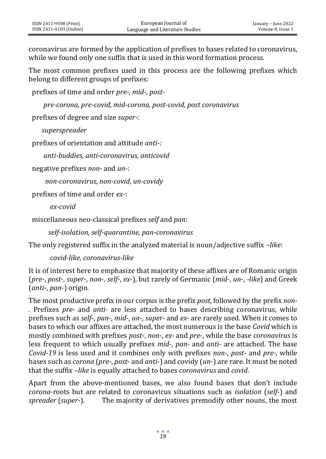coronavirus are formed by the application of prefixes to bases related to coronavirus, while we found only one suffix that is used in this word formation process.

The most common prefixes used in this process are the following prefixes which belong to different groups of prefixes:

prefixes of time and order *pre-, mid-, post-*

 *pre-corona, pre-covid, mid-corona, post-covid, post coronavirus*

prefixes of degree and size *super-:*

 *superspreader*

prefixes of orientation and attitude *anti-:*

 *anti-buddies, anti-coronavirus, anticovid*

negative prefixes *non-* and *un*-:

 *non-coronavirus, non-covid*, *un-covidy*

prefixes of time and order *ex-*:

*ex-covid*

miscellaneous neo-classical prefixes *self* and *pan*:

 *self-isolation, self-quarantine, pan-coronavirus* 

The only registered suffix in the analyzed material is noun/adjective suffix *–like*:

*covid-like*, *coronavirus-like*

It is of interest here to emphasize that majority of these affixes are of Romanic origin (*pre*-, *post*-, *super*-, *non*-, *self*-, *ex*-), but rarely of Germanic (*mid*-, *un*-, *-like*) and Greek (*anti*-, *pan*-) origin.

The most productive prefix in our corpus is the prefix *post,* followed by the prefix *non-* . Prefixes *pre-* and *anti-* are less attached to bases describing coronavirus, while prefixes such as *self-*, *pan-*, *mid-*, *un-*, *super-* and *ex-* are rarely used. When it comes to bases to which our affixes are attached, the most numerous is the base *Covid* which is mostly combined with prefixes *post*-, *non*-, *ex-* and *pre*-, while the base *coronavirus* is less frequent to which usually prefixes *mid-*, *pan-* and *anti-* are attached. The base *Covid-19* is less used and it combines only with prefixes *non-*, *post-* and *pre-*, while bases such as *corona* (*pre*-, *post*- and *anti*-) and covidy (*un*-) are rare. It must be noted that the suffix *–like* is equally attached to bases *coronavirus* and *covid*.

Apart from the above-mentioned bases, we also found bases that don't include *corona*-roots but are related to coronavirus situations such as *isolation* (*self*-) and *spreader* (*super*-). The majority of derivatives premodify other nouns, the most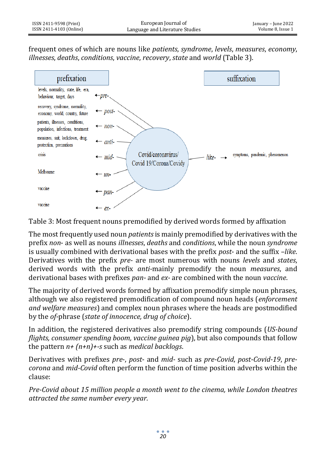frequent ones of which are nouns like *patients*, *syndrome*, *levels*, *measures*, *economy*, *illnesses*, *deaths*, *conditions*, *vaccine*, *recovery*, *state* and *world* (Table 3).



Table 3: Most frequent nouns premodified by derived words formed by affixation

The most frequently used noun *patients*is mainly premodified by derivatives with the prefix *non*- as well as nouns *illnesses*, *deaths* and *conditions*, while the noun *syndrome*  is usually combined with derivational bases with the prefix *post*- and the suffix *–like*. Derivatives with the prefix *pre-* are most numerous with nouns *levels* and *states*, derived words with the prefix *anti-*mainly premodify the noun *measures*, and derivational bases with prefixes *pan-* and *ex-* are combined with the noun *vaccine*.

The majority of derived words formed by affixation premodify simple noun phrases, although we also registered premodification of compound noun heads (*enforcement and welfare measures*) and complex noun phrases where the heads are postmodified by the *of-*phrase (*state of innocence, drug of choice*).

In addition, the registered derivatives also premodify string compounds (*US-bound flights, consumer spending boom, vaccine guinea pig*), but also compounds that follow the pattern *n+ (n+n)+-s* such as *medical backlogs*.

Derivatives with prefixes *pre*-, *post*- and *mid-* such as *pre-Covid*, *post-Covid-19*, *precorona* and *mid-Covid* often perform the function of time position adverbs within the clause:

*Pre-Covid about 15 million people a month went to the cinema, while London theatres attracted the same number every year.*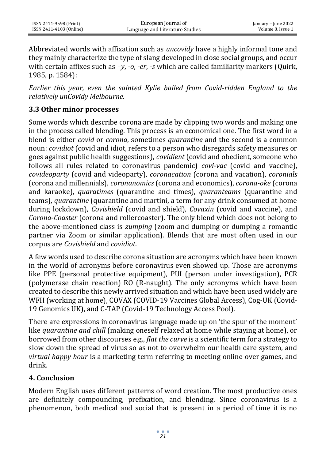Abbreviated words with affixation such as *uncovidy* have a highly informal tone and they mainly characterize the type of slang developed in close social groups, and occur with certain affixes such as *–y*, *-o*, *-er*, *-s* which are called familiarity markers (Quirk, 1985, p. 1584):

*Earlier this year, even the sainted Kylie bailed from Covid-ridden England to the relatively unCovidy Melbourne.*

## **3.3 Other minor processes**

Some words which describe corona are made by clipping two words and making one in the process called blending. This process is an economical one. The first word in a blend is either *covid* or *corona*, sometimes *quarantine* and the second is a common noun: *covidiot* (covid and idiot, refers to a person who disregards safety measures or goes against public health suggestions), *covidient* (covid and obedient, someone who follows all rules related to coronavirus pandemic) *covi-vac* (covid and vaccine), *covideoparty* (covid and videoparty), *coronacation* (corona and vacation), *coronials* (corona and millennials), *coronanomics* (corona and economics), *corona-oke* (corona and karaoke), *quaratimes* (quarantine and times), *quaranteams* (quarantine and teams), *quarantine* (quarantine and martini, a term for any drink consumed at home during lockdown), *Covishield* (covid and shield), *Covaxin* (covid and vaccine), and *Corona*-*Coaster* (corona and rollercoaster). The only blend which does not belong to the above-mentioned class is *zumping* (zoom and dumping or dumping a romantic partner via Zoom or similar application). Blends that are most often used in our corpus are *Covishield* and *covidiot*.

A few words used to describe corona situation are acronyms which have been known in the world of acronyms before coronavirus even showed up. Those are acronyms like PPE (personal protective equipment), PUI (person under investigation), PCR (polymerase chain reaction) RO (R-naught). The only acronyms which have been created to describe this newly arrived situation and which have been used widely are WFH (working at home), COVAX (COVID-19 Vaccines Global Access), Cog-UK (Covid-19 Genomics UK), and C-TAP (Covid-19 Technology Access Pool).

There are expressions in coronavirus language made up on 'the spur of the moment' like *quarantine and chill* (making oneself relaxed at home while staying at home), or borrowed from other discourses e.g., *flat the curve* is a scientific term for a strategy to slow down the spread of virus so as not to overwhelm our health care system, and *virtual happy hour* is a marketing term referring to meeting online over games, and drink.

### **4. Conclusion**

Modern English uses different patterns of word creation. The most productive ones are definitely compounding, prefixation, and blending. Since coronavirus is a phenomenon, both medical and social that is present in a period of time it is no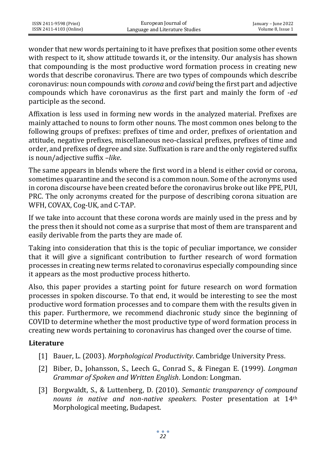wonder that new words pertaining to it have prefixes that position some other events with respect to it, show attitude towards it, or the intensity. Our analysis has shown that compounding is the most productive word formation process in creating new words that describe coronavirus. There are two types of compounds which describe coronavirus: noun compounds with *corona* and *covid* being the first part and adjective compounds which have coronavirus as the first part and mainly the form of -*ed* participle as the second.

Affixation is less used in forming new words in the analyzed material. Prefixes are mainly attached to nouns to form other nouns. The most common ones belong to the following groups of prefixes: prefixes of time and order, prefixes of orientation and attitude, negative prefixes, miscellaneous neo-classical prefixes, prefixes of time and order, and prefixes of degree and size. Suffixation is rare and the only registered suffix is noun/adjective suffix –*like*.

The same appears in blends where the first word in a blend is either covid or corona, sometimes quarantine and the second is a common noun. Some of the acronyms used in corona discourse have been created before the coronavirus broke out like PPE, PUI, PRC. The only acronyms created for the purpose of describing corona situation are WFH, COVAX, Cog-UK, and C-TAP.

If we take into account that these corona words are mainly used in the press and by the press then it should not come as a surprise that most of them are transparent and easily derivable from the parts they are made of.

Taking into consideration that this is the topic of peculiar importance, we consider that it will give a significant contribution to further research of word formation processes in creating new terms related to coronavirus especially compounding since it appears as the most productive process hitherto.

Also, this paper provides a starting point for future research on word formation processes in spoken discourse. To that end, it would be interesting to see the most productive word formation processes and to compare them with the results given in this paper. Furthermore, we recommend diachronic study since the beginning of COVID to determine whether the most productive type of word formation process in creating new words pertaining to coronavirus has changed over the course of time.

### **Literature**

- [1] Bauer, L. (2003). *Morphological Productivity*. Cambridge University Press.
- [2] Biber, D., Johansson, S., Leech G., Conrad S., & Finegan E. (1999). *Longman Grammar of Spoken and Written English*. London: Longman.
- [3] Borgwaldt, S., & Luttenberg, D. (2010). *Semantic transparency of compound nouns in native and non-native speakers*. Poster presentation at 14th Morphological meeting, Budapest.